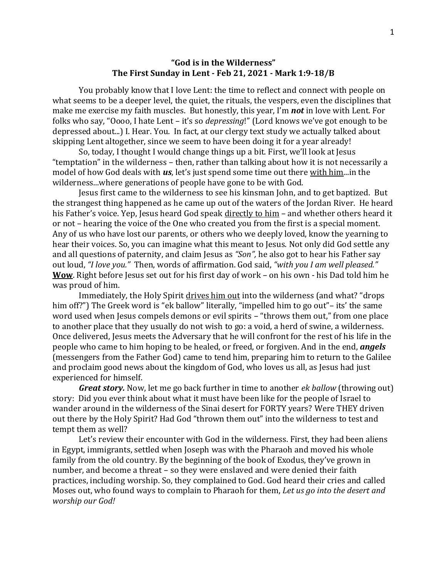## **"God is in the Wilderness" The First Sunday in Lent - Feb 21, 2021 - Mark 1:9-18/B**

You probably know that I love Lent: the time to reflect and connect with people on what seems to be a deeper level, the quiet, the rituals, the vespers, even the disciplines that make me exercise my faith muscles. But honestly, this year, I'm *not* in love with Lent. For folks who say, "Oooo, I hate Lent – it's so *depressing*!" (Lord knows we've got enough to be depressed about...) I. Hear. You. In fact, at our clergy text study we actually talked about skipping Lent altogether, since we seem to have been doing it for a year already!

So, today, I thought I would change things up a bit. First, we'll look at Jesus "temptation" in the wilderness – then, rather than talking about how it is not necessarily a model of how God deals with *us*, let's just spend some time out there with him...in the wilderness...where generations of people have gone to be with God.

Jesus first came to the wilderness to see his kinsman John, and to get baptized. But the strangest thing happened as he came up out of the waters of the Jordan River. He heard his Father's voice. Yep, Jesus heard God speak directly to him – and whether others heard it or not – hearing the voice of the One who created you from the first is a special moment. Any of us who have lost our parents, or others who we deeply loved, know the yearning to hear their voices. So, you can imagine what this meant to Jesus. Not only did God settle any and all questions of paternity, and claim Jesus as *"Son",* he also got to hear his Father say out loud, *"I love you."* Then, words of affirmation. God said, *"with you I am well pleased."* **Wow**. Right before Jesus set out for his first day of work – on his own - his Dad told him he was proud of him.

Immediately, the Holy Spirit drives him out into the wilderness (and what? "drops him off?") The Greek word is "ek ballow" literally, "impelled him to go out"– its' the same word used when Jesus compels demons or evil spirits – "throws them out," from one place to another place that they usually do not wish to go: a void, a herd of swine, a wilderness. Once delivered, Jesus meets the Adversary that he will confront for the rest of his life in the people who came to him hoping to be healed, or freed, or forgiven. And in the end, *angels* (messengers from the Father God) came to tend him, preparing him to return to the Galilee and proclaim good news about the kingdom of God, who loves us all, as Jesus had just experienced for himself.

*Great story.* Now, let me go back further in time to another *ek ballow* (throwing out) story: Did you ever think about what it must have been like for the people of Israel to wander around in the wilderness of the Sinai desert for FORTY years? Were THEY driven out there by the Holy Spirit? Had God "thrown them out" into the wilderness to test and tempt them as well?

Let's review their encounter with God in the wilderness. First, they had been aliens in Egypt, immigrants, settled when Joseph was with the Pharaoh and moved his whole family from the old country. By the beginning of the book of Exodus, they've grown in number, and become a threat – so they were enslaved and were denied their faith practices, including worship. So, they complained to God. God heard their cries and called Moses out, who found ways to complain to Pharaoh for them, *Let us go into the desert and worship our God!*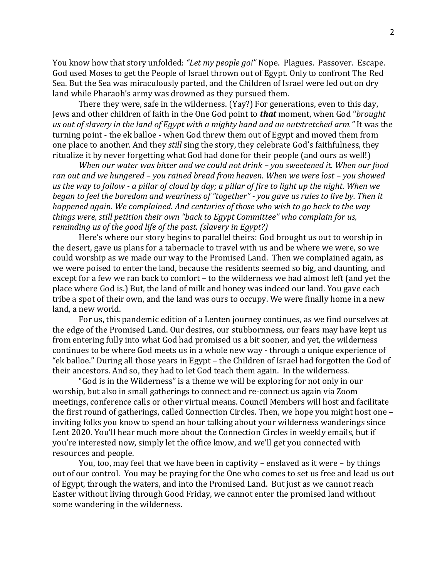You know how that story unfolded: *"Let my people go!"* Nope. Plagues. Passover. Escape. God used Moses to get the People of Israel thrown out of Egypt. Only to confront The Red Sea. But the Sea was miraculously parted, and the Children of Israel were led out on dry land while Pharaoh's army was drowned as they pursued them.

There they were, safe in the wilderness. (Yay?) For generations, even to this day, Jews and other children of faith in the One God point to *that* moment, when God "*brought us out of slavery in the land of Egypt with a mighty hand and an outstretched arm."* It was the turning point - the ek balloe - when God threw them out of Egypt and moved them from one place to another. And they *still* sing the story, they celebrate God's faithfulness, they ritualize it by never forgetting what God had done for their people (and ours as well!)

*When our water was bitter and we could not drink – you sweetened it. When our food ran out and we hungered – you rained bread from heaven. When we were lost – you showed us the way to follow - a pillar of cloud by day; a pillar of fire to light up the night. When we began to feel the boredom and weariness of "together" - you gave us rules to live by. Then it happened again. We complained. And centuries of those who wish to go back to the way things were, still petition their own "back to Egypt Committee" who complain for us, reminding us of the good life of the past. (slavery in Egypt?)*

Here's where our story begins to parallel theirs: God brought us out to worship in the desert, gave us plans for a tabernacle to travel with us and be where we were, so we could worship as we made our way to the Promised Land. Then we complained again, as we were poised to enter the land, because the residents seemed so big, and daunting, and except for a few we ran back to comfort – to the wilderness we had almost left (and yet the place where God is.) But, the land of milk and honey was indeed our land. You gave each tribe a spot of their own, and the land was ours to occupy. We were finally home in a new land, a new world.

For us, this pandemic edition of a Lenten journey continues, as we find ourselves at the edge of the Promised Land. Our desires, our stubbornness, our fears may have kept us from entering fully into what God had promised us a bit sooner, and yet, the wilderness continues to be where God meets us in a whole new way - through a unique experience of "ek balloe." During all those years in Egypt – the Children of Israel had forgotten the God of their ancestors. And so, they had to let God teach them again. In the wilderness.

"God is in the Wilderness" is a theme we will be exploring for not only in our worship, but also in small gatherings to connect and re-connect us again via Zoom meetings, conference calls or other virtual means. Council Members will host and facilitate the first round of gatherings, called Connection Circles. Then, we hope you might host one – inviting folks you know to spend an hour talking about your wilderness wanderings since Lent 2020. You'll hear much more about the Connection Circles in weekly emails, but if you're interested now, simply let the office know, and we'll get you connected with resources and people.

You, too, may feel that we have been in captivity – enslaved as it were – by things out of our control. You may be praying for the One who comes to set us free and lead us out of Egypt, through the waters, and into the Promised Land. But just as we cannot reach Easter without living through Good Friday, we cannot enter the promised land without some wandering in the wilderness.